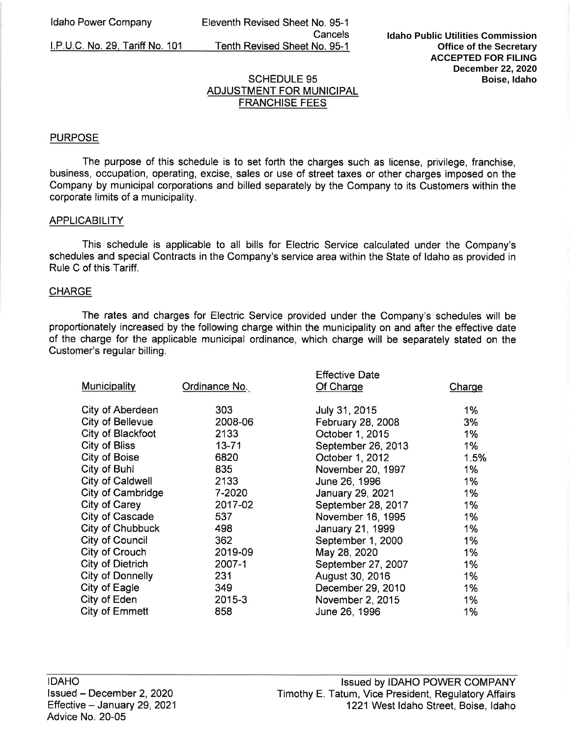I.P.U.C. No. 29. Tariff No. 101

Eleventh Revised Sheet No. 95-1 Cancels Tenth Revised Sheet No. 95-1

# SCHEDULE 95 ADJUSTMENT FOR MUNICIPAL FRANCHISE FEES

#### **PURPOSE**

The purpose of this schedule is to set forth the charges such as license, privilege, franchise, business, occupation, operating, excise, sales or use of street taxes or other charges imposed on the Company by municipal corporations and billed separately by the Company to its Customers within the corporate limits of a municipality.

#### **APPLICABILITY**

This schedule is applicable to all bills for Electric Service calculated under the Company's schedules and special Contracts in the Company's service area within the State of Idaho as provided in Rule C of this Tariff.

#### **CHARGE**

The rates and charges for Electric Service provided under the Company's schedules will be proportionately increased by the following charge within the municipality on and after the effective date of the charge for the applicable municipal ordinance, which charge will be separately stated on the Customer's regular billing.

| Municipality            | Ordinance No. | <b>Effective Date</b><br>Of Charge | Charge |
|-------------------------|---------------|------------------------------------|--------|
| City of Aberdeen        | 303           | July 31, 2015                      | $1\%$  |
| <b>City of Bellevue</b> | 2008-06       | February 28, 2008                  | 3%     |
| City of Blackfoot       | 2133          | October 1, 2015                    | 1%     |
| <b>City of Bliss</b>    | $13 - 71$     | September 26, 2013                 | 1%     |
| City of Boise           | 6820          | October 1, 2012                    | 1.5%   |
| City of Buhl            | 835           | November 20, 1997                  | $1\%$  |
| City of Caldwell        | 2133          | June 26, 1996                      | $1\%$  |
| City of Cambridge       | 7-2020        | January 29, 2021                   | 1%     |
| City of Carey           | 2017-02       | September 28, 2017                 | 1%     |
| City of Cascade         | 537           | November 16, 1995                  | $1\%$  |
| City of Chubbuck        | 498           | January 21, 1999                   | $1\%$  |
| City of Council         | 362           | September 1, 2000                  | 1%     |
| City of Crouch          | 2019-09       | May 28, 2020                       | 1%     |
| City of Dietrich        | 2007-1        | September 27, 2007                 | 1%     |
| <b>City of Donnelly</b> | 231           | August 30, 2016                    | 1%     |
| City of Eagle           | 349           | December 29, 2010                  | 1%     |
| City of Eden            | 2015-3        | November 2, 2015                   | 1%     |
| City of Emmett          | 858           | June 26, 1996                      | 1%     |